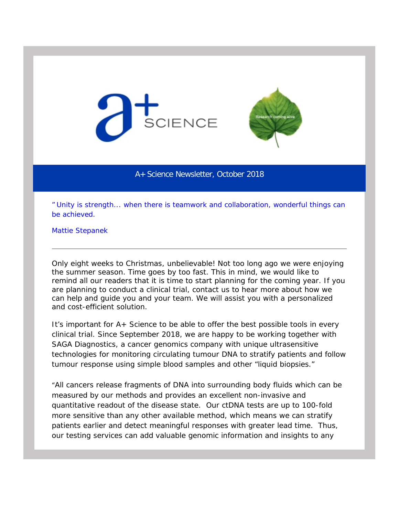



## A+ Science Newsletter, October 2018

*" Unity is strength... when there is teamwork and collaboration, wonderful things can be achieved.*

Mattie Stepanek

Only eight weeks to Christmas, unbelievable! Not too long ago we were enjoying the summer season. Time goes by too fast. This in mind, we would like to remind all our readers that it is time to start planning for the coming year. If you are planning to conduct a clinical trial, contact us to hear more about how we can help and guide you and your team. We will assist you with a personalized and cost-efficient solution.

It's important for A+ Science to be able to offer the best possible tools in every clinical trial. Since September 2018, we are happy to be working together with SAGA Diagnostics, a cancer genomics company with unique ultrasensitive technologies for monitoring circulating tumour DNA to stratify patients and follow tumour response using simple blood samples and other "liquid biopsies."

"All cancers release fragments of DNA into surrounding body fluids which can be measured by our methods and provides an excellent non-invasive and quantitative readout of the disease state. Our ctDNA tests are up to 100-fold more sensitive than any other available method, which means we can stratify patients earlier and detect meaningful responses with greater lead time. Thus, our testing services can add valuable genomic information and insights to any